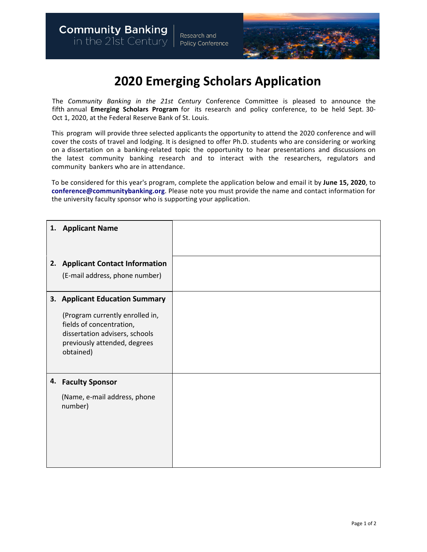

## **2020 Emerging Scholars Application**

The *Community Banking in the 21st Century* Conference Committee is pleased to announce the fifth annual **Emerging Scholars Program** for its research and policy conference, to be held Sept. 30- Oct 1, 2020, at the Federal Reserve Bank of St. Louis.

This program will provide three selected applicants the opportunity to attend the 2020 conference and will cover the costs of travel and lodging. It is designed to offer Ph.D. students who are considering or working on a dissertation on a banking-related topic the opportunity to hear presentations and discussions on the latest community banking research and to interact with the researchers, regulators and community bankers who are in attendance.

To be considered for this year's program, complete the application below and email it by **June 15, 2020**, to **[conference@communitybanking.org](mailto:conference@communitybanking.org)**. Please note you must provide the name and contact information for the university faculty sponsor who is supporting your application.

| 1. Applicant Name                                                                                                                          |  |
|--------------------------------------------------------------------------------------------------------------------------------------------|--|
|                                                                                                                                            |  |
| 2. Applicant Contact Information                                                                                                           |  |
| (E-mail address, phone number)                                                                                                             |  |
| 3. Applicant Education Summary                                                                                                             |  |
| (Program currently enrolled in,<br>fields of concentration,<br>dissertation advisers, schools<br>previously attended, degrees<br>obtained) |  |
| 4. Faculty Sponsor                                                                                                                         |  |
| (Name, e-mail address, phone<br>number)                                                                                                    |  |